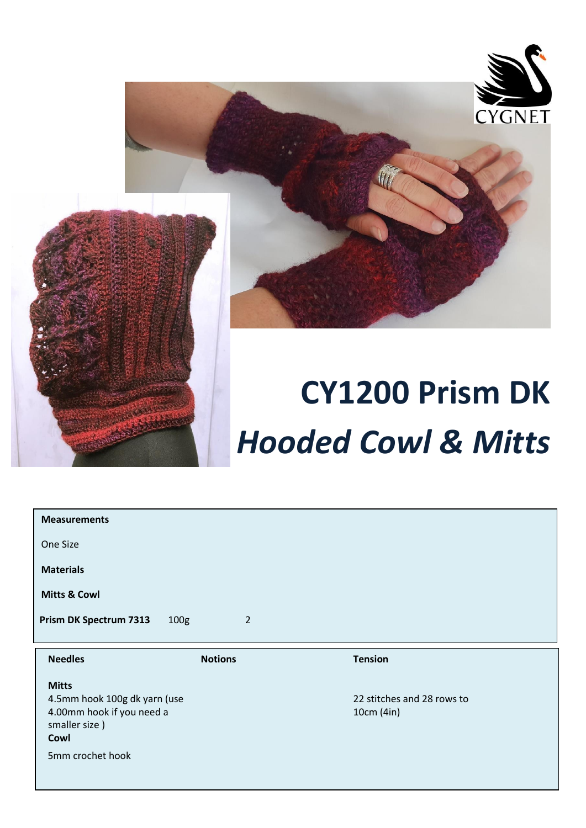

 $\overline{a}$ 





## **CY1200 Prism DK** *Hooded Cowl & Mitts*

| <b>Measurements</b>           |                                    |                |
|-------------------------------|------------------------------------|----------------|
| One Size                      |                                    |                |
| <b>Materials</b>              |                                    |                |
| <b>Mitts &amp; Cowl</b>       |                                    |                |
| <b>Prism DK Spectrum 7313</b> | 100 <sub>g</sub><br>$\overline{2}$ |                |
|                               |                                    |                |
|                               |                                    |                |
| <b>Needles</b>                | <b>Notions</b>                     | <b>Tension</b> |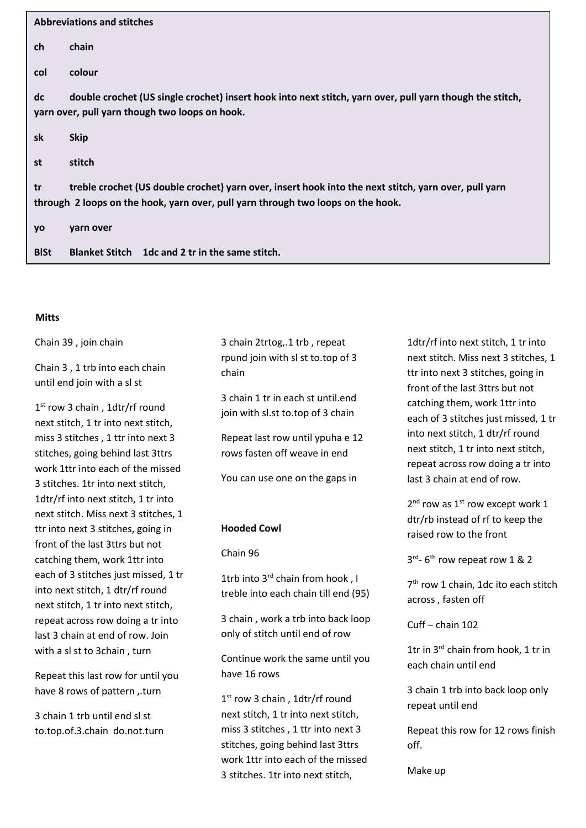| <b>Abbreviations and stitches</b>                                                                                                                                |                                                                                                                                                                                          |  |
|------------------------------------------------------------------------------------------------------------------------------------------------------------------|------------------------------------------------------------------------------------------------------------------------------------------------------------------------------------------|--|
| ch                                                                                                                                                               | chain                                                                                                                                                                                    |  |
| col                                                                                                                                                              | colour                                                                                                                                                                                   |  |
| double crochet (US single crochet) insert hook into next stitch, yarn over, pull yarn though the stitch,<br>dc<br>yarn over, pull yarn though two loops on hook. |                                                                                                                                                                                          |  |
| sk                                                                                                                                                               | <b>Skip</b>                                                                                                                                                                              |  |
| st                                                                                                                                                               | stitch                                                                                                                                                                                   |  |
| tr                                                                                                                                                               | treble crochet (US double crochet) yarn over, insert hook into the next stitch, yarn over, pull yarn<br>through 2 loops on the hook, yarn over, pull yarn through two loops on the hook. |  |
| yo                                                                                                                                                               | yarn over                                                                                                                                                                                |  |
| <b>BISt</b>                                                                                                                                                      | Blanket Stitch 1dc and 2 tr in the same stitch.                                                                                                                                          |  |

## **Mitts**

Chain 39 , join chain

Chain 3 , 1 trb into each chain until end join with a sl st

1 st row 3 chain , 1dtr/rf round next stitch, 1 tr into next stitch, miss 3 stitches , 1 ttr into next 3 stitches, going behind last 3ttrs work 1ttr into each of the missed 3 stitches. 1tr into next stitch, 1dtr/rf into next stitch, 1 tr into next stitch. Miss next 3 stitches, 1 ttr into next 3 stitches, going in front of the last 3ttrs but not catching them, work 1ttr into each of 3 stitches just missed, 1 tr into next stitch, 1 dtr/rf round next stitch, 1 tr into next stitch, repeat across row doing a tr into last 3 chain at end of row. Join with a sl st to 3chain , turn

Repeat this last row for until you have 8 rows of pattern ,.turn

3 chain 1 trb until end sl st to.top.of.3.chain do.not.turn 3 chain 2trtog,.1 trb , repeat rpund join with sl st to.top of 3 chain

3 chain 1 tr in each st until.end join with sl.st to.top of 3 chain

Repeat last row until ypuha e 12 rows fasten off weave in end

You can use one on the gaps in

## **Hooded Cowl**

Chain 96

1trb into 3<sup>rd</sup> chain from hook, I treble into each chain till end (95)

3 chain , work a trb into back loop only of stitch until end of row

Continue work the same until you have 16 rows

1 st row 3 chain , 1dtr/rf round next stitch, 1 tr into next stitch, miss 3 stitches , 1 ttr into next 3 stitches, going behind last 3ttrs work 1ttr into each of the missed 3 stitches. 1tr into next stitch,

1dtr/rf into next stitch, 1 tr into next stitch. Miss next 3 stitches, 1 ttr into next 3 stitches, going in front of the last 3ttrs but not catching them, work 1ttr into each of 3 stitches just missed, 1 tr into next stitch, 1 dtr/rf round next stitch, 1 tr into next stitch, repeat across row doing a tr into last 3 chain at end of row.

 $2^{nd}$  row as  $1^{st}$  row except work 1 dtr/rb instead of rf to keep the raised row to the front

3<sup>rd</sup>-6<sup>th</sup> row repeat row 1 & 2

7 th row 1 chain, 1dc ito each stitch across , fasten off

Cuff – chain 102

1tr in 3<sup>rd</sup> chain from hook, 1 tr in each chain until end

3 chain 1 trb into back loop only repeat until end

Repeat this row for 12 rows finish off.

Make up